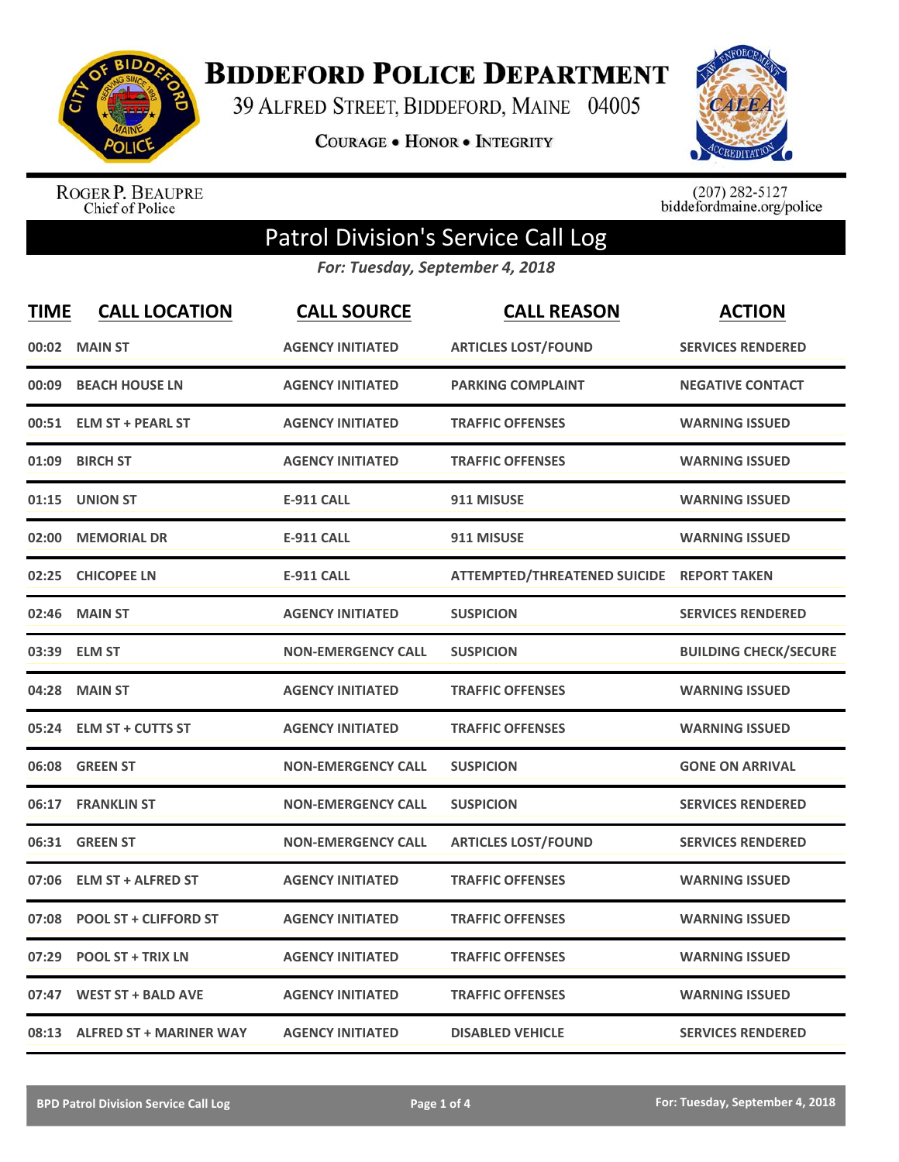

## **BIDDEFORD POLICE DEPARTMENT**

39 ALFRED STREET, BIDDEFORD, MAINE 04005

**COURAGE . HONOR . INTEGRITY** 



ROGER P. BEAUPRE<br>Chief of Police

 $(207)$  282-5127<br>biddefordmaine.org/police

## Patrol Division's Service Call Log

*For: Tuesday, September 4, 2018*

| <b>TIME</b> | <b>CALL LOCATION</b>           | <b>CALL SOURCE</b>        | <b>CALL REASON</b>                  | <b>ACTION</b>                |
|-------------|--------------------------------|---------------------------|-------------------------------------|------------------------------|
|             | 00:02 MAIN ST                  | <b>AGENCY INITIATED</b>   | <b>ARTICLES LOST/FOUND</b>          | <b>SERVICES RENDERED</b>     |
| 00:09       | <b>BEACH HOUSE LN</b>          | <b>AGENCY INITIATED</b>   | <b>PARKING COMPLAINT</b>            | <b>NEGATIVE CONTACT</b>      |
| 00:51       | <b>ELM ST + PEARL ST</b>       | <b>AGENCY INITIATED</b>   | <b>TRAFFIC OFFENSES</b>             | <b>WARNING ISSUED</b>        |
| 01:09       | <b>BIRCH ST</b>                | <b>AGENCY INITIATED</b>   | <b>TRAFFIC OFFENSES</b>             | <b>WARNING ISSUED</b>        |
| 01:15       | <b>UNION ST</b>                | <b>E-911 CALL</b>         | 911 MISUSE                          | <b>WARNING ISSUED</b>        |
| 02:00       | <b>MEMORIAL DR</b>             | <b>E-911 CALL</b>         | 911 MISUSE                          | <b>WARNING ISSUED</b>        |
| 02:25       | <b>CHICOPEE LN</b>             | <b>E-911 CALL</b>         | <b>ATTEMPTED/THREATENED SUICIDE</b> | <b>REPORT TAKEN</b>          |
| 02:46       | <b>MAIN ST</b>                 | <b>AGENCY INITIATED</b>   | <b>SUSPICION</b>                    | <b>SERVICES RENDERED</b>     |
| 03:39       | <b>ELM ST</b>                  | <b>NON-EMERGENCY CALL</b> | <b>SUSPICION</b>                    | <b>BUILDING CHECK/SECURE</b> |
| 04:28       | <b>MAIN ST</b>                 | <b>AGENCY INITIATED</b>   | <b>TRAFFIC OFFENSES</b>             | <b>WARNING ISSUED</b>        |
|             | 05:24 ELM ST + CUTTS ST        | <b>AGENCY INITIATED</b>   | <b>TRAFFIC OFFENSES</b>             | <b>WARNING ISSUED</b>        |
|             | 06:08 GREEN ST                 | <b>NON-EMERGENCY CALL</b> | <b>SUSPICION</b>                    | <b>GONE ON ARRIVAL</b>       |
|             | 06:17 FRANKLIN ST              | <b>NON-EMERGENCY CALL</b> | <b>SUSPICION</b>                    | <b>SERVICES RENDERED</b>     |
| 06:31       | <b>GREEN ST</b>                | <b>NON-EMERGENCY CALL</b> | <b>ARTICLES LOST/FOUND</b>          | <b>SERVICES RENDERED</b>     |
| 07:06       | <b>ELM ST + ALFRED ST</b>      | <b>AGENCY INITIATED</b>   | <b>TRAFFIC OFFENSES</b>             | <b>WARNING ISSUED</b>        |
| 07:08       | <b>POOL ST + CLIFFORD ST</b>   | <b>AGENCY INITIATED</b>   | <b>TRAFFIC OFFENSES</b>             | <b>WARNING ISSUED</b>        |
| 07:29       | <b>POOL ST + TRIX LN</b>       | <b>AGENCY INITIATED</b>   | <b>TRAFFIC OFFENSES</b>             | <b>WARNING ISSUED</b>        |
| 07:47       | <b>WEST ST + BALD AVE</b>      | <b>AGENCY INITIATED</b>   | <b>TRAFFIC OFFENSES</b>             | <b>WARNING ISSUED</b>        |
| 08:13       | <b>ALFRED ST + MARINER WAY</b> | <b>AGENCY INITIATED</b>   | <b>DISABLED VEHICLE</b>             | <b>SERVICES RENDERED</b>     |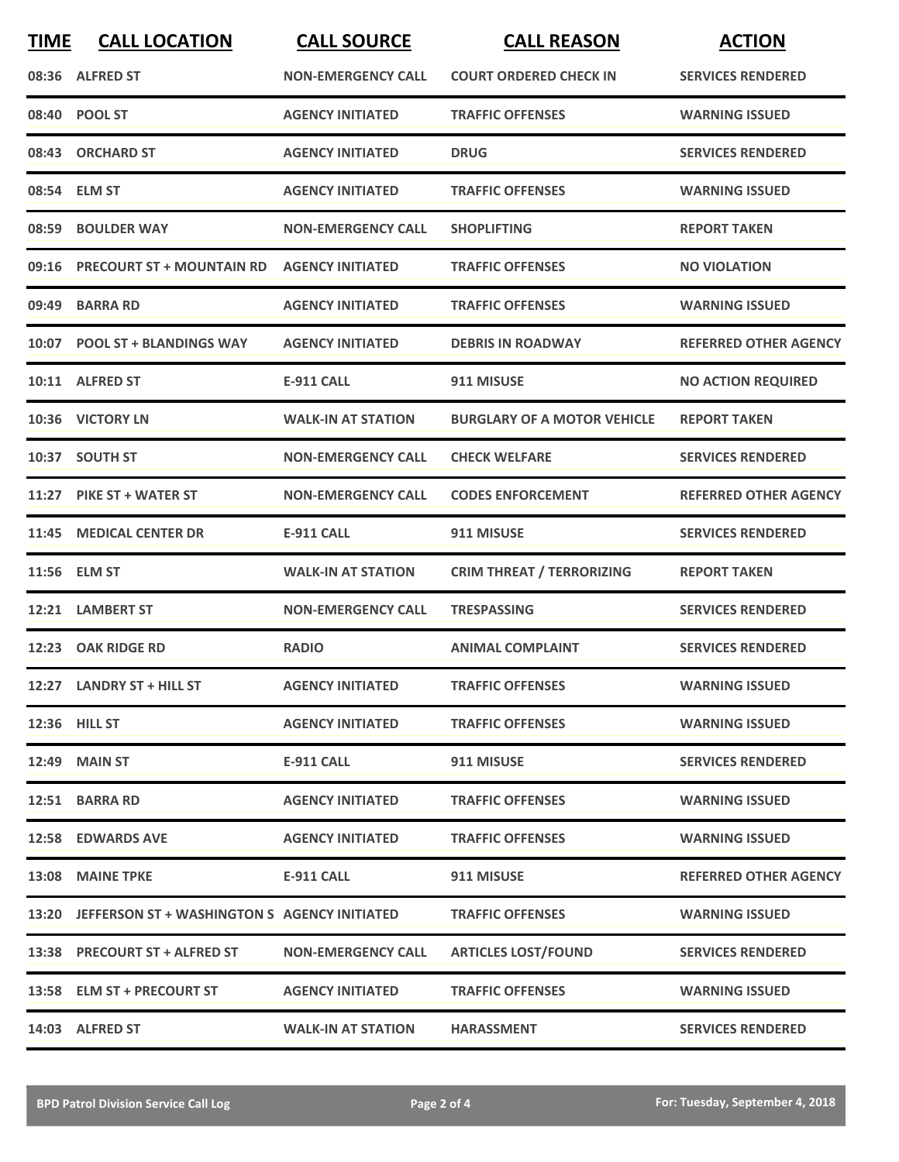| <b>TIME</b> | <b>CALL LOCATION</b>                               | <b>CALL SOURCE</b>        | <b>CALL REASON</b>                 | <b>ACTION</b>                |
|-------------|----------------------------------------------------|---------------------------|------------------------------------|------------------------------|
|             | 08:36 ALFRED ST                                    | <b>NON-EMERGENCY CALL</b> | <b>COURT ORDERED CHECK IN</b>      | <b>SERVICES RENDERED</b>     |
|             | 08:40 POOL ST                                      | <b>AGENCY INITIATED</b>   | <b>TRAFFIC OFFENSES</b>            | <b>WARNING ISSUED</b>        |
| 08:43       | <b>ORCHARD ST</b>                                  | <b>AGENCY INITIATED</b>   | <b>DRUG</b>                        | <b>SERVICES RENDERED</b>     |
|             | 08:54 ELM ST                                       | <b>AGENCY INITIATED</b>   | <b>TRAFFIC OFFENSES</b>            | <b>WARNING ISSUED</b>        |
|             | 08:59 BOULDER WAY                                  | <b>NON-EMERGENCY CALL</b> | <b>SHOPLIFTING</b>                 | <b>REPORT TAKEN</b>          |
|             | 09:16 PRECOURT ST + MOUNTAIN RD                    | <b>AGENCY INITIATED</b>   | <b>TRAFFIC OFFENSES</b>            | <b>NO VIOLATION</b>          |
| 09:49       | <b>BARRA RD</b>                                    | <b>AGENCY INITIATED</b>   | <b>TRAFFIC OFFENSES</b>            | <b>WARNING ISSUED</b>        |
|             | 10:07 POOL ST + BLANDINGS WAY                      | <b>AGENCY INITIATED</b>   | <b>DEBRIS IN ROADWAY</b>           | <b>REFERRED OTHER AGENCY</b> |
|             | 10:11 ALFRED ST                                    | <b>E-911 CALL</b>         | 911 MISUSE                         | <b>NO ACTION REQUIRED</b>    |
|             | 10:36 VICTORY LN                                   | <b>WALK-IN AT STATION</b> | <b>BURGLARY OF A MOTOR VEHICLE</b> | <b>REPORT TAKEN</b>          |
|             | 10:37 SOUTH ST                                     | <b>NON-EMERGENCY CALL</b> | <b>CHECK WELFARE</b>               | <b>SERVICES RENDERED</b>     |
|             | 11:27 PIKE ST + WATER ST                           | <b>NON-EMERGENCY CALL</b> | <b>CODES ENFORCEMENT</b>           | <b>REFERRED OTHER AGENCY</b> |
|             | 11:45 MEDICAL CENTER DR                            | <b>E-911 CALL</b>         | 911 MISUSE                         | <b>SERVICES RENDERED</b>     |
|             | 11:56 ELM ST                                       | <b>WALK-IN AT STATION</b> | <b>CRIM THREAT / TERRORIZING</b>   | <b>REPORT TAKEN</b>          |
| 12:21       | <b>LAMBERT ST</b>                                  | <b>NON-EMERGENCY CALL</b> | <b>TRESPASSING</b>                 | <b>SERVICES RENDERED</b>     |
|             | 12:23 OAK RIDGE RD                                 | <b>RADIO</b>              | <b>ANIMAL COMPLAINT</b>            | <b>SERVICES RENDERED</b>     |
|             | 12:27 LANDRY ST + HILL ST                          | <b>AGENCY INITIATED</b>   | <b>TRAFFIC OFFENSES</b>            | <b>WARNING ISSUED</b>        |
|             | 12:36 HILL ST                                      | <b>AGENCY INITIATED</b>   | <b>TRAFFIC OFFENSES</b>            | <b>WARNING ISSUED</b>        |
|             | <b>12:49 MAIN ST</b>                               | E-911 CALL                | 911 MISUSE                         | <b>SERVICES RENDERED</b>     |
|             | 12:51 BARRA RD                                     | <b>AGENCY INITIATED</b>   | <b>TRAFFIC OFFENSES</b>            | <b>WARNING ISSUED</b>        |
|             | 12:58 EDWARDS AVE                                  | <b>AGENCY INITIATED</b>   | <b>TRAFFIC OFFENSES</b>            | <b>WARNING ISSUED</b>        |
|             | 13:08 MAINE TPKE                                   | E-911 CALL                | 911 MISUSE                         | <b>REFERRED OTHER AGENCY</b> |
|             | 13:20 JEFFERSON ST + WASHINGTON S AGENCY INITIATED |                           | <b>TRAFFIC OFFENSES</b>            | <b>WARNING ISSUED</b>        |
|             | 13:38 PRECOURT ST + ALFRED ST                      | <b>NON-EMERGENCY CALL</b> | <b>ARTICLES LOST/FOUND</b>         | <b>SERVICES RENDERED</b>     |
|             | 13:58 ELM ST + PRECOURT ST                         | <b>AGENCY INITIATED</b>   | <b>TRAFFIC OFFENSES</b>            | <b>WARNING ISSUED</b>        |
|             | 14:03 ALFRED ST                                    | <b>WALK-IN AT STATION</b> | <b>HARASSMENT</b>                  | <b>SERVICES RENDERED</b>     |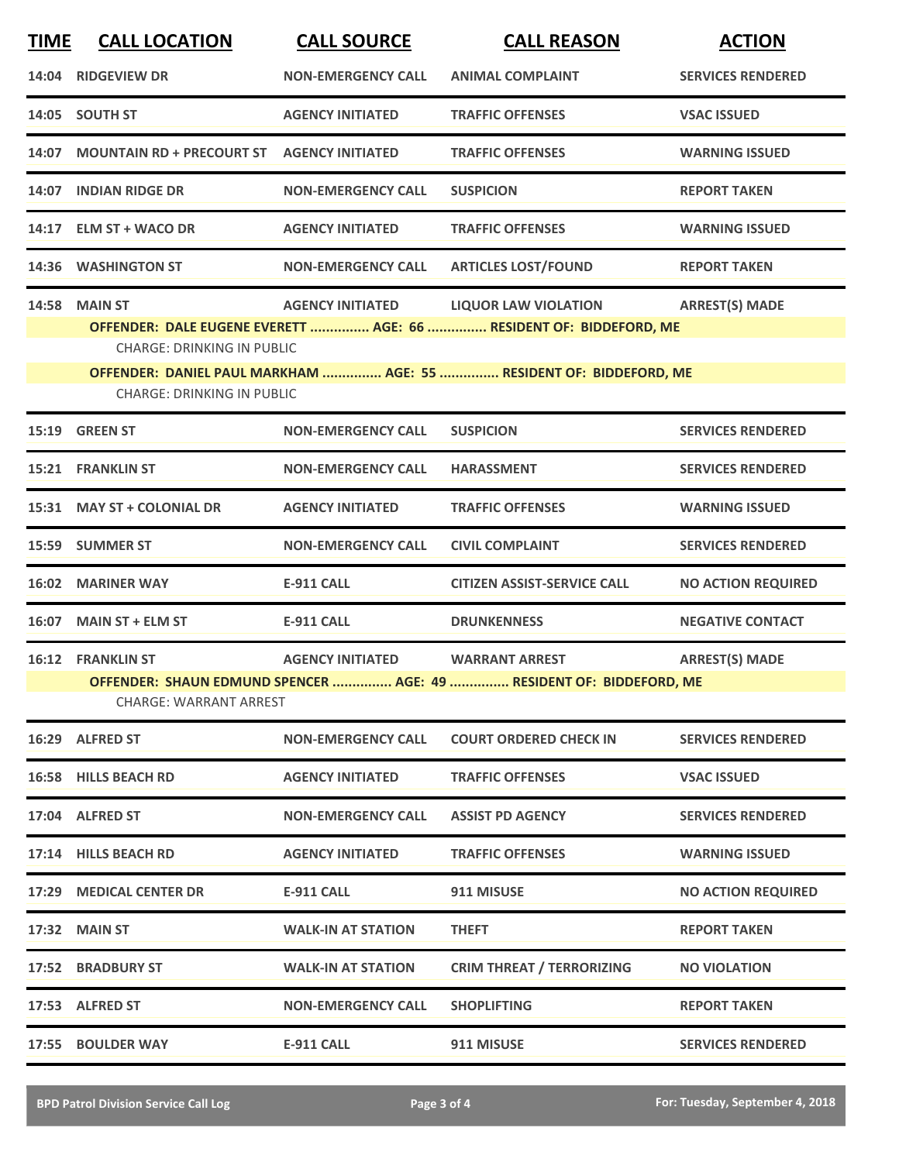| <b>TIME</b> | <b>CALL LOCATION</b>                       | <b>CALL SOURCE</b>        | <b>CALL REASON</b>                                                  | <b>ACTION</b>             |
|-------------|--------------------------------------------|---------------------------|---------------------------------------------------------------------|---------------------------|
|             | 14:04 RIDGEVIEW DR                         | <b>NON-EMERGENCY CALL</b> | <b>ANIMAL COMPLAINT</b>                                             | <b>SERVICES RENDERED</b>  |
|             | 14:05 SOUTH ST                             | <b>AGENCY INITIATED</b>   | <b>TRAFFIC OFFENSES</b>                                             | <b>VSAC ISSUED</b>        |
| 14:07       | MOUNTAIN RD + PRECOURT ST AGENCY INITIATED |                           | <b>TRAFFIC OFFENSES</b>                                             | <b>WARNING ISSUED</b>     |
|             | 14:07 INDIAN RIDGE DR                      | <b>NON-EMERGENCY CALL</b> | <b>SUSPICION</b>                                                    | <b>REPORT TAKEN</b>       |
|             | 14:17 ELM ST + WACO DR                     | <b>AGENCY INITIATED</b>   | <b>TRAFFIC OFFENSES</b>                                             | <b>WARNING ISSUED</b>     |
|             | 14:36 WASHINGTON ST                        | <b>NON-EMERGENCY CALL</b> | <b>ARTICLES LOST/FOUND</b>                                          | <b>REPORT TAKEN</b>       |
|             | <b>14:58 MAIN ST</b>                       | <b>AGENCY INITIATED</b>   | <b>LIQUOR LAW VIOLATION</b>                                         | <b>ARREST(S) MADE</b>     |
|             |                                            |                           | OFFENDER: DALE EUGENE EVERETT  AGE: 66  RESIDENT OF: BIDDEFORD, ME  |                           |
|             | <b>CHARGE: DRINKING IN PUBLIC</b>          |                           |                                                                     |                           |
|             |                                            |                           | OFFENDER: DANIEL PAUL MARKHAM  AGE: 55  RESIDENT OF: BIDDEFORD, ME  |                           |
|             | <b>CHARGE: DRINKING IN PUBLIC</b>          |                           |                                                                     |                           |
|             | 15:19 GREEN ST                             | <b>NON-EMERGENCY CALL</b> | <b>SUSPICION</b>                                                    | <b>SERVICES RENDERED</b>  |
|             | 15:21 FRANKLIN ST                          | <b>NON-EMERGENCY CALL</b> | <b>HARASSMENT</b>                                                   | <b>SERVICES RENDERED</b>  |
|             | 15:31 MAY ST + COLONIAL DR                 | <b>AGENCY INITIATED</b>   | <b>TRAFFIC OFFENSES</b>                                             | <b>WARNING ISSUED</b>     |
|             | 15:59 SUMMER ST                            | <b>NON-EMERGENCY CALL</b> | <b>CIVIL COMPLAINT</b>                                              | <b>SERVICES RENDERED</b>  |
|             | 16:02 MARINER WAY                          | <b>E-911 CALL</b>         | <b>CITIZEN ASSIST-SERVICE CALL</b>                                  | <b>NO ACTION REQUIRED</b> |
|             | 16:07 MAIN ST + ELM ST                     | <b>E-911 CALL</b>         | <b>DRUNKENNESS</b>                                                  | <b>NEGATIVE CONTACT</b>   |
|             | <b>16:12 FRANKLIN ST</b>                   | <b>AGENCY INITIATED</b>   | <b>WARRANT ARREST</b>                                               | <b>ARREST(S) MADE</b>     |
|             |                                            |                           | OFFENDER: SHAUN EDMUND SPENCER  AGE: 49  RESIDENT OF: BIDDEFORD, ME |                           |
|             | <b>CHARGE: WARRANT ARREST</b>              |                           |                                                                     |                           |
|             | 16:29 ALFRED ST                            | <b>NON-EMERGENCY CALL</b> | <b>COURT ORDERED CHECK IN</b>                                       | <b>SERVICES RENDERED</b>  |
|             | <b>16:58 HILLS BEACH RD</b>                | <b>AGENCY INITIATED</b>   | <b>TRAFFIC OFFENSES</b>                                             | <b>VSAC ISSUED</b>        |
|             | 17:04 ALFRED ST                            | <b>NON-EMERGENCY CALL</b> | <b>ASSIST PD AGENCY</b>                                             | <b>SERVICES RENDERED</b>  |
|             | 17:14 HILLS BEACH RD                       | <b>AGENCY INITIATED</b>   | <b>TRAFFIC OFFENSES</b>                                             | <b>WARNING ISSUED</b>     |
|             | 17:29 MEDICAL CENTER DR                    | <b>E-911 CALL</b>         | 911 MISUSE                                                          | <b>NO ACTION REQUIRED</b> |
|             | 17:32 MAIN ST                              | <b>WALK-IN AT STATION</b> | <b>THEFT</b>                                                        | <b>REPORT TAKEN</b>       |
| 17:52       | <b>BRADBURY ST</b>                         | <b>WALK-IN AT STATION</b> | <b>CRIM THREAT / TERRORIZING</b>                                    | <b>NO VIOLATION</b>       |
|             | 17:53 ALFRED ST                            | <b>NON-EMERGENCY CALL</b> | <b>SHOPLIFTING</b>                                                  | <b>REPORT TAKEN</b>       |
|             | 17:55 BOULDER WAY                          | <b>E-911 CALL</b>         | 911 MISUSE                                                          | <b>SERVICES RENDERED</b>  |